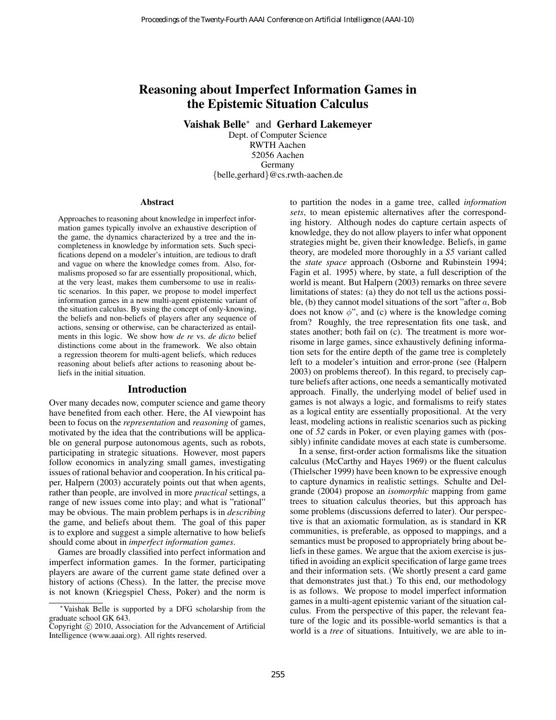# Reasoning about Imperfect Information Games in the Epistemic Situation Calculus

Vaishak Belle<sup>∗</sup> and Gerhard Lakemeyer

Dept. of Computer Science RWTH Aachen 52056 Aachen Germany {belle,gerhard}@cs.rwth-aachen.de

#### Abstract

Approaches to reasoning about knowledge in imperfect information games typically involve an exhaustive description of the game, the dynamics characterized by a tree and the incompleteness in knowledge by information sets. Such specifications depend on a modeler's intuition, are tedious to draft and vague on where the knowledge comes from. Also, formalisms proposed so far are essentially propositional, which, at the very least, makes them cumbersome to use in realistic scenarios. In this paper, we propose to model imperfect information games in a new multi-agent epistemic variant of the situation calculus. By using the concept of only-knowing, the beliefs and non-beliefs of players after any sequence of actions, sensing or otherwise, can be characterized as entailments in this logic. We show how *de re* vs. *de dicto* belief distinctions come about in the framework. We also obtain a regression theorem for multi-agent beliefs, which reduces reasoning about beliefs after actions to reasoning about beliefs in the initial situation.

#### Introduction

Over many decades now, computer science and game theory have benefited from each other. Here, the AI viewpoint has been to focus on the *representation* and *reasoning* of games, motivated by the idea that the contributions will be applicable on general purpose autonomous agents, such as robots, participating in strategic situations. However, most papers follow economics in analyzing small games, investigating issues of rational behavior and cooperation. In his critical paper, Halpern (2003) accurately points out that when agents, rather than people, are involved in more *practical* settings, a range of new issues come into play; and what is "rational" may be obvious. The main problem perhaps is in *describing* the game, and beliefs about them. The goal of this paper is to explore and suggest a simple alternative to how beliefs should come about in *imperfect information games*.

Games are broadly classified into perfect information and imperfect information games. In the former, participating players are aware of the current game state defined over a history of actions (Chess). In the latter, the precise move is not known (Kriegspiel Chess, Poker) and the norm is

to partition the nodes in a game tree, called *information sets*, to mean epistemic alternatives after the corresponding history. Although nodes do capture certain aspects of knowledge, they do not allow players to infer what opponent strategies might be, given their knowledge. Beliefs, in game theory, are modeled more thoroughly in a *S5* variant called the *state space* approach (Osborne and Rubinstein 1994; Fagin et al. 1995) where, by state, a full description of the world is meant. But Halpern (2003) remarks on three severe limitations of states: (a) they do not tell us the actions possible, (b) they cannot model situations of the sort "after  $a$ , Bob does not know  $\phi$ ", and (c) where is the knowledge coming from? Roughly, the tree representation fits one task, and states another; both fail on (c). The treatment is more worrisome in large games, since exhaustively defining information sets for the entire depth of the game tree is completely left to a modeler's intuition and error-prone (see (Halpern 2003) on problems thereof). In this regard, to precisely capture beliefs after actions, one needs a semantically motivated approach. Finally, the underlying model of belief used in games is not always a logic, and formalisms to reify states as a logical entity are essentially propositional. At the very least, modeling actions in realistic scenarios such as picking one of *52* cards in Poker, or even playing games with (possibly) infinite candidate moves at each state is cumbersome. Proceedings of the Twenty-Fourth AAAI Conference on Artificial Intelligence (AAA-10)<br> **Reasoning about Imperfect Information Galuelus<br>
Vaishak Belle<sup>\*</sup> and Gerhard Lakemeyer<br>
Belle<sup>x</sup> and Gerhard Lakemeyer<br>
Belle<sup>x</sup> and G** 

In a sense, first-order action formalisms like the situation calculus (McCarthy and Hayes 1969) or the fluent calculus (Thielscher 1999) have been known to be expressive enough to capture dynamics in realistic settings. Schulte and Delgrande (2004) propose an *isomorphic* mapping from game trees to situation calculus theories, but this approach has some problems (discussions deferred to later). Our perspective is that an axiomatic formulation, as is standard in KR communities, is preferable, as opposed to mappings, and a semantics must be proposed to appropriately bring about beliefs in these games. We argue that the axiom exercise is justified in avoiding an explicit specification of large game trees and their information sets. (We shortly present a card game that demonstrates just that.) To this end, our methodology is as follows. We propose to model imperfect information games in a multi-agent epistemic variant of the situation calculus. From the perspective of this paper, the relevant feature of the logic and its possible-world semantics is that a world is a *tree* of situations. Intuitively, we are able to in-

<sup>∗</sup>Vaishak Belle is supported by a DFG scholarship from the graduate school GK 643.

Copyright © 2010, Association for the Advancement of Artificial Intelligence (www.aaai.org). All rights reserved.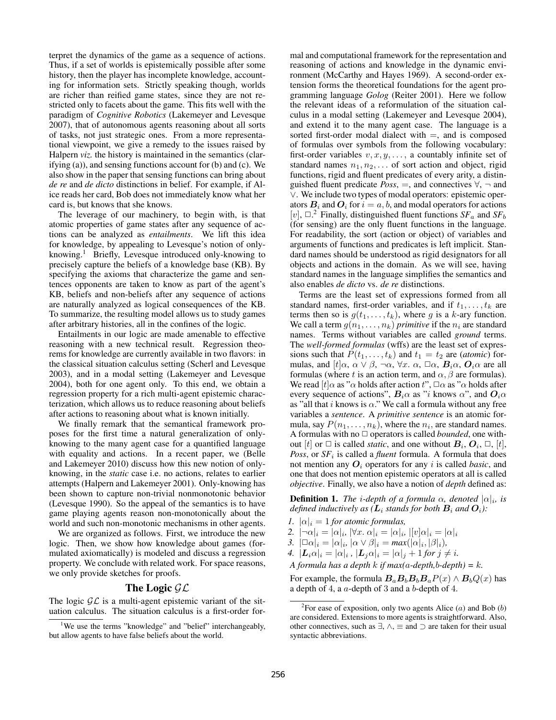terpret the dynamics of the game as a sequence of actions. Thus, if a set of worlds is epistemically possible after some history, then the player has incomplete knowledge, accounting for information sets. Strictly speaking though, worlds are richer than reified game states, since they are not restricted only to facets about the game. This fits well with the paradigm of *Cognitive Robotics* (Lakemeyer and Levesque 2007), that of autonomous agents reasoning about all sorts of tasks, not just strategic ones. From a more representational viewpoint, we give a remedy to the issues raised by Halpern *viz*. the history is maintained in the semantics (clarifying (a)), and sensing functions account for (b) and (c). We also show in the paper that sensing functions can bring about *de re* and *de dicto* distinctions in belief. For example, if Alice reads her card, Bob does not immediately know what her card is, but knows that she knows.

The leverage of our machinery, to begin with, is that atomic properties of game states after any sequence of actions can be analyzed as *entailments*. We lift this idea for knowledge, by appealing to Levesque's notion of onlyknowing.<sup>1</sup> Briefly, Levesque introduced only-knowing to precisely capture the beliefs of a knowledge base (KB). By specifying the axioms that characterize the game and sentences opponents are taken to know as part of the agent's KB, beliefs and non-beliefs after any sequence of actions are naturally analyzed as logical consequences of the KB. To summarize, the resulting model allows us to study games after arbitrary histories, all in the confines of the logic.

Entailments in our logic are made amenable to effective reasoning with a new technical result. Regression theorems for knowledge are currently available in two flavors: in the classical situation calculus setting (Scherl and Levesque 2003), and in a modal setting (Lakemeyer and Levesque 2004), both for one agent only. To this end, we obtain a regression property for a rich multi-agent epistemic characterization, which allows us to reduce reasoning about beliefs after actions to reasoning about what is known initially.

We finally remark that the semantical framework proposes for the first time a natural generalization of onlyknowing to the many agent case for a quantified language with equality and actions. In a recent paper, we (Belle and Lakemeyer 2010) discuss how this new notion of onlyknowing, in the *static* case i.e. no actions, relates to earlier attempts (Halpern and Lakemeyer 2001). Only-knowing has been shown to capture non-trivial nonmonotonic behavior (Levesque 1990). So the appeal of the semantics is to have game playing agents reason non-monotonically about the world and such non-monotonic mechanisms in other agents.

We are organized as follows. First, we introduce the new logic. Then, we show how knowledge about games (formulated axiomatically) is modeled and discuss a regression property. We conclude with related work. For space reasons, we only provide sketches for proofs.

### The Logic  $\mathcal{GL}$

The logic  $\mathcal{GL}$  is a multi-agent epistemic variant of the situation calculus. The situation calculus is a first-order formal and computational framework for the representation and reasoning of actions and knowledge in the dynamic environment (McCarthy and Hayes 1969). A second-order extension forms the theoretical foundations for the agent programming language *Golog* (Reiter 2001). Here we follow the relevant ideas of a reformulation of the situation calculus in a modal setting (Lakemeyer and Levesque 2004), and extend it to the many agent case. The language is a sorted first-order modal dialect with  $=$ , and is composed of formulas over symbols from the following vocabulary: first-order variables  $v, x, y, \dots$ , a countably infinite set of standard names  $n_1, n_2, \ldots$  of sort action and object, rigid functions, rigid and fluent predicates of every arity, a distinguished fluent predicate  $Poss$ , =, and connectives  $\forall$ ,  $\neg$  and ∨. We include two types of modal operators: epistemic operators  $B_i$  and  $O_i$  for  $i = a, b$ , and modal operators for actions [v],  $\Box$ <sup>2</sup> Finally, distinguished fluent functions  $SF_a$  and  $SF_b$ (for sensing) are the only fluent functions in the language. For readability, the sort (action or object) of variables and arguments of functions and predicates is left implicit. Standard names should be understood as rigid designators for all objects and actions in the domain. As we will see, having standard names in the language simplifies the semantics and also enables *de dicto* vs. *de re* distinctions.

Terms are the least set of expressions formed from all standard names, first-order variables, and if  $t_1, \ldots, t_k$  are terms then so is  $g(t_1, \ldots, t_k)$ , where g is a k-ary function. We call a term  $g(n_1, \ldots, n_k)$  *primitive* if the  $n_i$  are standard names. Terms without variables are called *ground* terms. The *well-formed formulas* (wffs) are the least set of expressions such that  $P(t_1, \ldots, t_k)$  and  $t_1 = t_2$  are *(atomic)* formulas, and  $[t]\alpha$ ,  $\alpha \vee \beta$ ,  $\neg \alpha$ ,  $\forall x$ .  $\alpha$ ,  $\Box \alpha$ ,  $B_i\alpha$ ,  $O_i\alpha$  are all formulas (where t is an action term, and  $\alpha$ ,  $\beta$  are formulas). We read  $[t]$ α as "α holds after action  $t$ ",  $\Box \alpha$  as "α holds after every sequence of actions",  $B_i \alpha$  as "i knows  $\alpha$ ", and  $O_i \alpha$ as "all that  $i$  knows is  $\alpha$ ." We call a formula without any free variables a *sentence*. A *primitive sentence* is an atomic formula, say  $P(n_1, \ldots, n_k)$ , where the  $n_i$ , are standard names. A formulas with no  $\Box$  operators is called *bounded*, one without [t] or  $\Box$  is called *static*, and one without  $B_i$ ,  $O_i$ ,  $\Box$ , [t], *Poss*, or  $SF<sub>i</sub>$  is called a *fluent* formula. A formula that does not mention any  $O_i$  operators for any i is called *basic*, and one that does not mention epistemic operators at all is called *objective*. Finally, we also have a notion of *depth* defined as:

**Definition 1.** The *i*-depth of a formula  $\alpha$ , denoted  $|\alpha|_i$ , is *defined inductively as (* $\mathbf{L}_i$  *stands for both*  $\mathbf{B}_i$  *and*  $\mathbf{O}_i$ ):

- *1.*  $|\alpha|_i = 1$  *for atomic formulas,*
- 2.  $|\neg \alpha|_i = |\alpha|_i, |\forall x. \alpha|_i = |\alpha|_i, |[v]\alpha|_i = |\alpha|_i$
- 3.  $|\Box \alpha|_i = |\alpha|_i, |\alpha \vee \beta|_i = \max(|\alpha|_i, |\beta|_i),$
- *4.*  $|\mathbf{L}_i \alpha|_i = |\alpha|_i$ ,  $|\mathbf{L}_j \alpha|_i = |\alpha|_j + 1$  *for*  $j \neq i$ *.*

*A formula has a depth k if max(a-depth,b-depth)* =  $k$ .

For example, the formula  $B_aB_bB_bB_aP(x) \wedge B_bQ(x)$  has a depth of 4, a a-depth of 3 and a b-depth of 4.

<sup>&</sup>lt;sup>1</sup>We use the terms "knowledge" and "belief" interchangeably, but allow agents to have false beliefs about the world.

<sup>&</sup>lt;sup>2</sup> For ease of exposition, only two agents Alice  $(a)$  and Bob  $(b)$ are considered. Extensions to more agents is straightforward. Also, other connectives, such as  $\exists$ ,  $\land$ ,  $\equiv$  and  $\supset$  are taken for their usual syntactic abbreviations.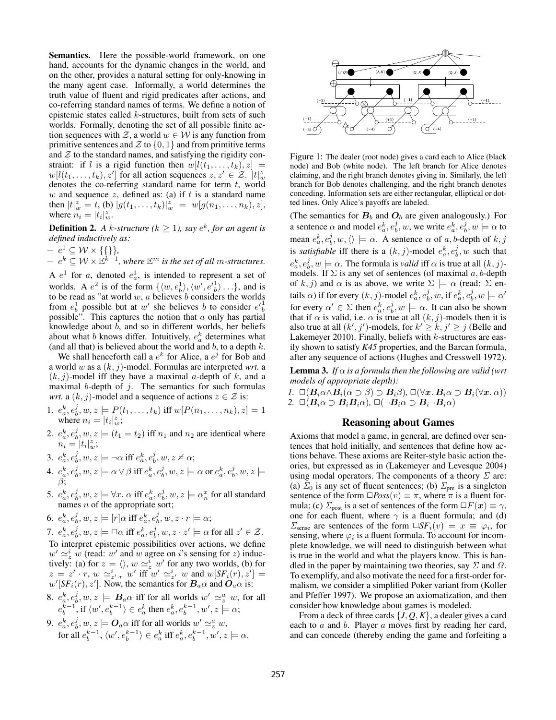Semantics. Here the possible-world framework, on one hand, accounts for the dynamic changes in the world, and on the other, provides a natural setting for only-knowing in the many agent case. Informally, a world determines the truth value of fluent and rigid predicates after actions, and co-referring standard names of terms. We define a notion of epistemic states called k-structures, built from sets of such worlds. Formally, denoting the set of all possible finite action sequences with  $\mathcal{Z}$ , a world  $w \in \mathcal{W}$  is any function from primitive sentences and  $\mathcal Z$  to  $\{0, 1\}$  and from primitive terms and  $Z$  to the standard names, and satisfying the rigidity constraint: if l is a rigid function then  $w[l(t_1, \ldots, t_k), z] =$  $w[l(t_1,...,t_k), z']$  for all action sequences  $z, z' \in \mathcal{Z}$ .  $|t|_w^z$ denotes the co-referring standard name for term  $t$ , world w and sequence  $z$ , defined as: (a) if  $t$  is a standard name then  $|t|^z_w = t$ , (b)  $|g(t_1, ..., t_k)|^z_w = w[g(n_1, ..., n_k), z],$ where  $\tilde{n}_i = |t_i|_w^z$ .

**Definition 2.** A k-structure ( $k \ge 1$ ), say  $e^k$ , for an agent is *defined inductively as:*

 $- e^1 \subseteq \mathcal{W} \times \{\{\}\},\$ 

 $- e^{k} \subseteq W \times \mathbb{B}^{k-1}$ , where  $\mathbb{E}^{m}$  is the set of all m-structures.

A  $e^1$  for a, denoted  $e^1_a$ , is intended to represent a set of worlds. A  $e^2$  is of the form  $\{\langle w, e_b^1 \rangle, \langle w', e'_{b}^1 \rangle \dots\}$ , and is to be read as "at world  $w$ ,  $a$  believes  $b$  considers the worlds from  $e_b^1$  possible but at w' she believes b to consider  $e_b^1$ possible". This captures the notion that  $a$  only has partial knowledge about  $b$ , and so in different worlds, her beliefs about what b knows differ. Intuitively,  $e_a^k$  determines what (and all that) is believed about the world and  $b$ , to a depth  $k$ .

We shall henceforth call a  $e^k$  for Alice, a  $e^j$  for Bob and a world w as a (k, j)-model. Formulas are interpreted *wrt.* a  $(k, j)$ -model iff they have a maximal a-depth of k, and a maximal b-depth of  $j$ . The semantics for such formulas *wrt.* a  $(k, j)$ -model and a sequence of actions  $z \in \mathcal{Z}$  is:

- 1.  $e_a^k, e_b^j, w, z \models P(t_1, \ldots, t_k)$  iff  $w[P(n_1, \ldots, n_k), z] = 1$ where  $n_i = |t_i|_w^z$ ;
- 2.  $e_a^k$ ,  $e_b^j$ ,  $w$ ,  $z \models$   $(t_1 = t_2)$  iff  $n_1$  and  $n_2$  are identical where  $\tilde{n_i} = |t_i|_w^z;$
- 3.  $e_a^k, e_b^j, w, z \models \neg \alpha$  iff  $e_a^k, e_b^j, w, z \nvDash \alpha$ ;
- $\mathcal{A}\cdot e_a^k, e_b^j, w, z \models \alpha \vee \beta \text{ iff } e_a^k, e_b^j, w, z \models \alpha \text{ or } e_a^k, e_b^j, w, z \models \beta$ β;
- 5.  $e_a^k, e_b^j, w, z \models \forall x \ldotp \alpha \text{ iff } e_a^k, e_b^j, w, z \models \alpha_n^x \text{ for all standard }$ names  $n$  of the appropriate sort;

6. 
$$
e_a^k, e_b^j, w, z \models [r] \alpha
$$
 iff  $e_a^k, e_b^j, w, z \cdot r \models \alpha$ ;

7.  $e_a^k, e_b^j, w, z \models \Box \alpha \text{ iff } e_a^k, e_b^j, w, z \cdot z' \models \alpha \text{ for all } z' \in \mathcal{Z}$ . To interpret epistemic possibilities over actions, we define  $w' \simeq_z^i \hat{w}$  (read: w' and w agree on i's sensing for z) inductively. (a) for  $z = \langle \rangle$ ,  $w \simeq_z^i w'$  for any two worlds, (b) for  $z = z' \cdot r$ ,  $w \simeq z' \cdot r$  w' iff  $w' \simeq z'$  w and  $w[SF_i(r), z'] = z'$  $w'[SF_i(r), z']$ . Now, the semantics for  $B_a\alpha$  and  $O_a\alpha$  is:

- 8.  $e_a^k, e_b^j, w, z \models B_a \alpha$  iff for all worlds  $w' \simeq_z^a w$ , for all  $e_b^{k-1}$ , if  $\langle w', e_b^{k-1} \rangle \in e_a^k$  then  $e_a^k, e_b^{k-1}, w', z \models \alpha;$
- 9.  $e_a^k, e_b^j, w, z \models \boldsymbol{O}_a \alpha$  iff for all worlds  $w' \simeq_z^a w$ , for all  $e_b^{k-1}$ ,  $\langle w', e_b^{k-1} \rangle \in e_a^k$  iff  $e_a^k, e_b^{k-1}, w', z \models \alpha$ .



Figure 1: The dealer (root node) gives a card each to Alice (black node) and Bob (white node). The left branch for Alice denotes claiming, and the right branch denotes giving in. Similarly, the left branch for Bob denotes challenging, and the right branch denotes conceding. Information sets are either rectangular, elliptical or dotted lines. Only Alice's payoffs are labeled.

(The semantics for  $B_b$  and  $O_b$  are given analogously.) For a sentence  $\alpha$  and model  $e_a^k, e_b^j, w$ , we write  $e_a^k, e_b^j, w \models \alpha$  to mean  $e_a^k, e_b^j, w, \langle \rangle \models \alpha$ . A sentence  $\alpha$  of  $a, b$ -depth of  $k, j$ is *satisfiable* iff there is a  $(k, j)$ -model  $e_a^k, e_b^j, w$  such that  $e_a^k, e_b^j, w \models \alpha$ . The formula is *valid* iff  $\alpha$  is true at all  $(k, j)$ models. If  $\Sigma$  is any set of sentences (of maximal  $a, b$ -depth of k, j) and  $\alpha$  is as above, we write  $\Sigma \models \alpha$  (read:  $\Sigma$  entails  $\alpha$ ) if for every  $(k, j)$ -model  $e_a^k, e_b^j, w$ , if  $e_a^k, e_b^j, w \models \alpha'$ for every  $\alpha' \in \Sigma$  then  $e_a^k, e_b^j, w \models \alpha$ . It can also be shown that if  $\alpha$  is valid, i.e.  $\alpha$  is true at all  $(k, j)$ -models then it is also true at all  $(k', j')$ -models, for  $k' \geq k, j' \geq j$  (Belle and Lakemeyer 2010). Finally, beliefs with  $k$ -structures are easily shown to satisfy *K45* properties, and the Barcan formula, after any sequence of actions (Hughes and Cresswell 1972).

**Lemma 3.** *If*  $\alpha$  *is a formula then the following are valid (wrt models of appropriate depth):*

*1.*  $\Box(B_i\alpha \land B_i(\alpha \supset \beta) \supset B_i\beta)$ ,  $\Box(\forall x. B_i\alpha \supset B_i(\forall x. \alpha))$ 2.  $\Box(B_i\alpha \supset B_iB_i\alpha)$ ,  $\Box(\neg B_i\alpha \supset B_i\neg B_i\alpha)$ 

## Reasoning about Games

Axioms that model a game, in general, are defined over sentences that hold initially, and sentences that define how actions behave. These axioms are Reiter-style basic action theories, but expressed as in (Lakemeyer and Levesque 2004) using modal operators. The components of a theory  $\Sigma$  are: (a)  $\Sigma_0$  is any set of fluent sentences; (b)  $\Sigma_{pre}$  is a singleton sentence of the form  $\square Poss(v) \equiv \pi$ , where  $\pi$  is a fluent formula; (c)  $\Sigma_{\text{post}}$  is a set of sentences of the form  $\Box F(x) \equiv \gamma$ , one for each fluent, where  $\gamma$  is a fluent formula; and (d)  $\Sigma_{\text{sense}}$  are sentences of the form  $\square SF_i(v) = x \equiv \varphi_i$ , for sensing, where  $\varphi_i$  is a fluent formula. To account for incomplete knowledge, we will need to distinguish between what is true in the world and what the players know. This is handled in the paper by maintaining two theories, say  $\Sigma$  and  $\Omega$ . To exemplify, and also motivate the need for a first-order formalism, we consider a simplified Poker variant from (Koller and Pfeffer 1997). We propose an axiomatization, and then consider how knowledge about games is modeled.

From a deck of three cards {*J*, *Q*, *K*}, a dealer gives a card each to a and b. Player a moves first by reading her card, and can concede (thereby ending the game and forfeiting a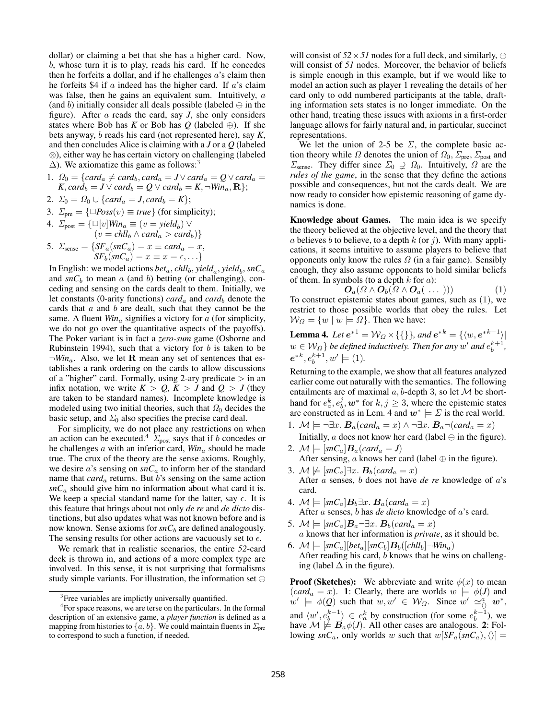dollar) or claiming a bet that she has a higher card. Now, b, whose turn it is to play, reads his card. If he concedes then he forfeits a dollar, and if he challenges  $a$ 's claim then he forfeits \$4 if  $\alpha$  indeed has the higher card. If  $\alpha$ 's claim was false, then he gains an equivalent sum. Intuitively, a (and b) initially consider all deals possible (labeled  $\ominus$  in the figure). After a reads the card, say *J*, she only considers states where Bob has *K* or Bob has *Q* (labeled  $\oplus$ ). If she bets anyway, b reads his card (not represented here), say *K*, and then concludes Alice is claiming with a *J* or a *Q* (labeled ⊗), either way he has certain victory on challenging (labeled  $\Delta$ ). We axiomatize this game as follows:<sup>3</sup>

- 1.  $\Omega_0 = \{card_a \neq card_b, card_a = J \vee card_a = Q \vee card_a =$  $K, card_b = J \vee card_b = Q \vee card_b = K, \neg Win_a, \mathbf{R};$
- 2.  $\Sigma_0 = \Omega_0 \cup \{card_a = J, card_b = K\};$
- 3.  $\Sigma_{pre} = {\square} Poss(v) \equiv true}$  (for simplicity);

4. 
$$
\Sigma_{\text{post}} = \{ \Box[v] \text{Win}_a \equiv (v = yield_b) \lor (v = child_b \land card_a > card_b) \}
$$
  
5.  $\Sigma_{\text{sense}} = \{ \text{SF}_a(\text{snC}_a) = x \equiv card_a = x,$ 

$$
SF_b(sn_0) = x \equiv x = \epsilon, \ldots
$$
}. In English: we model actions *beta*, *chllb*, *yielda*, *yieldb*, *snCa* and *snCb* to mean *a* (and *b*) betting (or challenging), conceding and sensing on the cards dealt to them. Initially, we let constants (0-arity functions) *carda* and *cardb* denote the cards that *a* and *b* are dealt, such that they cannot be the same. A fluent *Wina* signifies a victory for *a* (for simplicity, we do not go over the quantitative aspects of the payoffs). The Poker variant is in fact a *zero-sum* game (Osborne and Rubinstein 1994), such that a victory for *b* is taken to be  $\neg Win_a$ . Also, we let **R** mean any set of sentences that establishes a rank ordering on the cards to allow discussions of a "higher" card. Formally, using 2-ary predicate  $>$  in an infix notation, we write  $K > Q$ ,  $K > J$  and  $Q > J$  (they are taken to be standard names). Incomplete knowledge is modeled using two initial theories, such that  $\Omega_0$  decides the basic setup, and  $\Sigma_0$  also specifies the precise card deal.

For simplicity, we do not place any restrictions on when an action can be executed.<sup>4</sup>  $\Sigma_{\text{post}}$  says that if b concedes or he challenges a with an inferior card,  $Win_a$  should be made true. The crux of the theory are the sense axioms. Roughly, we desire a's sensing on *snC*<sup>a</sup> to inform her of the standard name that *card*<sub>a</sub> returns. But *b*'s sensing on the same action *snC*<sup>a</sup> should give him no information about what card it is. We keep a special standard name for the latter, say  $\epsilon$ . It is this feature that brings about not only *de re* and *de dicto* distinctions, but also updates what was not known before and is now known. Sense axioms for *snC*<sup>b</sup> are defined analogously. The sensing results for other actions are vacuously set to  $\epsilon$ .

We remark that in realistic scenarios, the entire *52*-card deck is thrown in, and actions of a more complex type are involved. In this sense, it is not surprising that formalisms study simple variants. For illustration, the information set  $\ominus$ 

will consist of  $52 \times 51$  nodes for a full deck, and similarly, ⊕ will consist of 51 nodes. Moreover, the behavior of beliefs is simple enough in this example, but if we would like to model an action such as player 1 revealing the details of her card only to odd numbered participants at the table, drafting information sets states is no longer immediate. On the other hand, treating these issues with axioms in a first-order language allows for fairly natural and, in particular, succinct representations.

We let the union of 2-5 be  $\Sigma$ , the complete basic action theory while  $\Omega$  denotes the union of  $\Omega_0$ ,  $\Sigma_{\text{pre}}$ ,  $\Sigma_{\text{post}}$  and  $\Sigma_{\text{sense}}$ . They differ since  $\Sigma_0 \supsetneq \Omega_0$ . Intuitively,  $\Omega$  are the *rules of the game*, in the sense that they define the actions possible and consequences, but not the cards dealt. We are now ready to consider how epistemic reasoning of game dynamics is done.

Knowledge about Games. The main idea is we specify the theory believed at the objective level, and the theory that a believes b to believe, to a depth  $k$  (or j). With many applications, it seems intuitive to assume players to believe that opponents only know the rules  $\Omega$  (in a fair game). Sensibly enough, they also assume opponents to hold similar beliefs of them. In symbols (to a depth  $k$  for  $a$ ):

$$
\boldsymbol{O}_a(\Omega \wedge \boldsymbol{O}_b(\Omega \wedge \boldsymbol{O}_a(\ \ldots \))) \tag{1}
$$

To construct epistemic states about games, such as (1), we restrict to those possible worlds that obey the rules. Let  $W_{\Omega} = \{w \mid w \models \Omega\}$ . Then we have:

**Lemma 4.** Let  $e^{*1} = W_{\Omega} \times \{\{\}\}\$ , and  $e^{*k} = \{\langle w, e^{*k-1}\rangle |$  $w \in \mathcal{W}_{\Omega}$  *be defined inductively. Then for any*  $w'$  and  $e_b^{k+1}$ ,  $e^{*k}, e_b^{k+1}, w' \models (1)$ .

Returning to the example, we show that all features analyzed earlier come out naturally with the semantics. The following entailments are of maximal  $a, b$ -depth 3, so let  $\mathcal M$  be shorthand for  $e_a^k, e_b^j, \mathbf{w}^*$  for  $k, j \geq 3$ , where the epistemic states are constructed as in Lem. 4 and  $w^* \models \Sigma$  is the real world.

- 1.  $\mathcal{M} \models \neg \exists x. B_a (card_a = x) \land \neg \exists x. B_a \neg (card_a = x)$ Initially, a does not know her card (label  $\ominus$  in the figure).
- 2.  $\mathcal{M} \models [snC_a] \boldsymbol{B}_a(card_a = J)$ After sensing,  $a$  knows her card (label  $\oplus$  in the figure).
- 3.  $M \not\models$  [ $snC_a$ ]∃x.  $B_b(card_a = x)$ After a senses, b does not have *de re* knowledge of a's card.
- 4.  $\mathcal{M} \models [snC_a] \mathbf{B}_b \exists x. \mathbf{B}_a (card_a = x)$ After a senses, b has *de dicto* knowledge of a's card.
- 5.  $\mathcal{M} \models [snC_a] \mathbf{B}_a \neg \exists x. \mathbf{B}_b(card_a = x)$ a knows that her information is *private*, as it should be. 6.  $\mathcal{M} \models [snC_a][bet_a][snC_b]B_b([chll_b]-Win_a)$
- After reading his card,  $b$  knows that he wins on challenging (label  $\Delta$  in the figure).

**Proof (Sketches):** We abbreviate and write  $\phi(x)$  to mean  $(card_a = x)$ . 1: Clearly, there are worlds  $w \models \phi(J)$  and  $w' \models \phi(Q)$  such that  $w, w' \in W_{\Omega}$ . Since  $w' \simeq_{\bigcirc}^a w^*$ , and  $\langle w', e_b^{k-1} \rangle \in e_a^k$  by construction (for some  $e_b^{k-1}$ ), we have  $\mathcal{M} \not\models B_a\phi(J)$ . All other cases are analogous. 2: Following  $snC_a$ , only worlds w such that  $w[SF_a(snC_a), \langle\rangle] =$ 

<sup>&</sup>lt;sup>3</sup> Free variables are implictly universally quantified.

<sup>&</sup>lt;sup>4</sup> For space reasons, we are terse on the particulars. In the formal description of an extensive game, a *player function* is defined as a mapping from histories to  $\{a, b\}$ . We could maintain fluents in  $\Sigma_{pre}$ to correspond to such a function, if needed.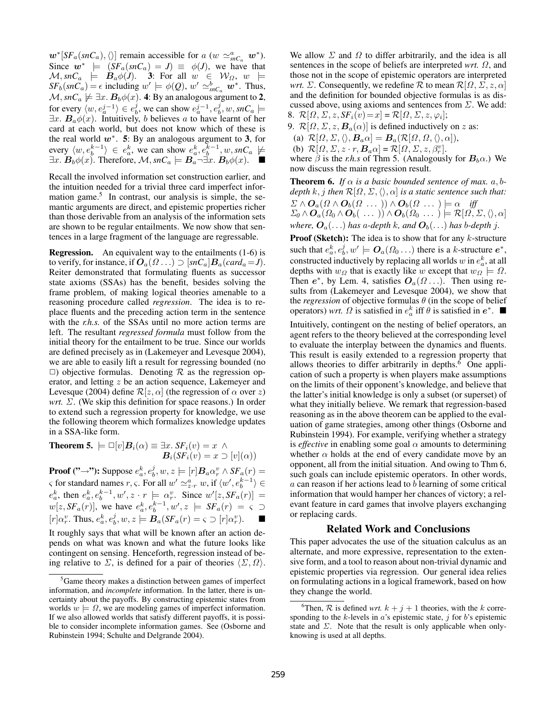$w^*$ [*SF<sub>a</sub>*(*snC<sub>a</sub>*),  $\langle \rangle$ ] remain accessible for a (w  $\approx_{snC_a}^a w^*$ ). Since  $w^*$   $\models$   $(SF_a(snC_a) = J) \equiv \phi(J)$ , we have that  $\mathcal{M},$  snC<sub>a</sub>  $\models$   $\bm{B}_a\phi(J)$ . 3: For all  $w \in \mathcal{W}_{\Omega}$ ,  $w \models$  $SF_b(snC_a) = \epsilon$  including  $w' \models \phi(Q)$ ,  $w' \simeq_{snC_a}^b \mathbf{w}^*$ . Thus,  $M, snC_a \not\models \exists x. B_b \phi(x)$ . 4: By an analogous argument to 2, for every  $\langle w, e_a^{j-1} \rangle \in e_b^j$ , we can show  $e_a^{j-1}, e_b^j, w, snC_a \models$  $\exists x. B_a \phi(x)$ . Intuitively, b believes a to have learnt of her card at each world, but does not know which of these is the real world  $w^*$ . 5: By an analogous argument to 3, for every  $\langle w, e_b^{k-1} \rangle \in e_a^k$ , we can show  $e_a^k, e_b^{k-1}, w, snC_a \not\models$  $\exists x. B_b \phi(x)$ . Therefore,  $\mathcal{M}, snC_a \models \mathbf{B}_a \neg \exists x. \mathbf{B}_b \phi(x)$ .  $\blacksquare$ 

Recall the involved information set construction earlier, and the intuition needed for a trivial three card imperfect information game.<sup>5</sup> In contrast, our analysis is simple, the semantic arguments are direct, and epistemic properties richer than those derivable from an analysis of the information sets are shown to be regular entailments. We now show that sentences in a large fragment of the language are regressable.

Regression. An equivalent way to the entailments (1-6) is to verify, for instance, if  $O_a(\Omega \dots) \supset [\text{snC}_a]B_a(\text{card}_a = J)$ . Reiter demonstrated that formulating fluents as successor state axioms (SSAs) has the benefit, besides solving the frame problem, of making logical theories amenable to a reasoning procedure called *regression*. The idea is to replace fluents and the preceding action term in the sentence with the *r.h.s.* of the SSAs until no more action terms are left. The resultant *regressed formula* must follow from the initial theory for the entailment to be true. Since our worlds are defined precisely as in (Lakemeyer and Levesque 2004), we are able to easily lift a result for regressing bounded (no  $\Box$ ) objective formulas. Denoting R as the regression operator, and letting z be an action sequence, Lakemeyer and Levesque (2004) define  $\mathcal{R}[z, \alpha]$  (the regression of  $\alpha$  over z) *wrt.* Σ. (We skip this definition for space reasons.) In order to extend such a regression property for knowledge, we use the following theorem which formalizes knowledge updates in a SSA-like form.

**Theorem 5.** 
$$
\models \Box[v]B_i(\alpha) \equiv \exists x. \, SF_i(v) = x \land
$$
\n $B_i(SF_i(v) = x \supset [v](\alpha))$ 

**Proof ("→"):** Suppose  $e_a^k, e_b^j, w, z \models [r] \mathbf{B}_a \alpha_r^v \wedge SF_a(r) =$  $\varsigma$  for standard names  $r, \varsigma$ . For all  $w' \simeq_{z \cdot r}^a w$ , if  $\langle w', e_b^{k-1} \rangle \in$  $e_a^k$ , then  $e_a^k$ ,  $e_b^{k-1}$ ,  $w'$ ,  $z \cdot r \models \alpha_r^v$ . Since  $w'[z, SF_a(r)] =$  $w[z, SF_a(r)]$ , we have  $e_a^k, e_b^{k-1}, w', z \models SF_a(r) = \varsigma \supset$  $[r] \alpha_r^v$ . Thus,  $e_a^k, e_b^j, w, z \models B_a(SF_a(r) = \varsigma \supset [r] \alpha_r^v$  $\mathbf{L}$ 

It roughly says that what will be known after an action depends on what was known and what the future looks like contingent on sensing. Henceforth, regression instead of being relative to  $\Sigma$ , is defined for a pair of theories  $\langle \Sigma, \Omega \rangle$ .

We allow  $\Sigma$  and  $\Omega$  to differ arbitrarily, and the idea is all sentences in the scope of beliefs are interpreted *wrt.* Ω, and those not in the scope of epistemic operators are interpreted *wrt.*  $\Sigma$ . Consequently, we redefine  $\mathcal R$  to mean  $\mathcal R[\Omega, \Sigma, z, \alpha]$ and the definition for bounded objective formulas is as discussed above, using axioms and sentences from  $\Sigma$ . We add: 8.  $\mathcal{R}[\Omega, \Sigma, z, S F_i(v) = x] = \mathcal{R}[\Omega, \Sigma, z, \varphi_i];$ 

9.  $\mathcal{R}[\Omega, \Sigma, z, \mathbf{B}_a(\alpha)]$  is defined inductively on z as:

(a)  $\mathcal{R}[\Omega, \Sigma, \langle \rangle, \mathbf{B}_a \alpha] = \mathbf{B}_a(\mathcal{R}[\Omega, \Omega, \langle \rangle, \alpha]),$ 

(b) 
$$
\mathcal{R}[\Omega, \Sigma, z \cdot r, \mathbf{B}_a \alpha] = \mathcal{R}[\Omega, \Sigma, z, \beta_r^v].
$$

(b)  $\mathcal{R}[32, 2, 2, 7, \mathbf{L}_a^a] = \mathcal{R}[32, 2, 2, 8, \rho_r].$ <br>where  $\beta$  is the *r.h.s* of Thm 5. (Analogously for  $\mathbf{B}_b \alpha$ .) We now discuss the main regression result.

**Theorem 6.** If  $\alpha$  is a basic bounded sentence of max.  $a, b$ *depth* k, *j then*  $\mathcal{R}[\Omega, \Sigma, \langle \rangle, \alpha]$  *is a static sentence such that:*  $\Sigma \wedge \mathbf{O}_a(\Omega \wedge \mathbf{O}_b(\Omega \dots)) \wedge \mathbf{O}_b(\Omega \dots) \models \alpha \quad \text{iff}$  $\Sigma_0 \wedge \mathbf{O}_a(\Omega_0 \wedge \mathbf{O}_b(\ \ldots\ ) ) \wedge \mathbf{O}_b(\Omega_0 \ \ldots\ ) \models \mathcal{R}[\Omega, \Sigma, \langle \rangle, \alpha]$ *where,*  $O_a(\ldots)$  *has* a-depth *k*, and  $O_b(\ldots)$  *has* b-depth *j*.

**Proof (Sketch):** The idea is to show that for any  $k$ -structure such that  $e_a^k, e_b^j, w' \models \mathbf{O}_a(\Omega_0 \dots)$  there is a k-structure  $e^*$ , constructed inductively by replacing all worlds  $w$  in  $e_a^k$ , at all depths with  $w_{\Omega}$  that is exactly like w except that  $w_{\Omega} \models \Omega$ . Then  $e^*$ , by Lem. 4, satisfies  $O_a(\Omega \dots)$ . Then using results from (Lakemeyer and Levesque 2004), we show that the *regression* of objective formulas  $\theta$  (in the scope of belief operators) *wrt.*  $\Omega$  is satisfied in  $e_a^k$  iff  $\theta$  is satisfied in  $e^*$ .

Intuitively, contingent on the nesting of belief operators, an agent refers to the theory believed at the corresponding level to evaluate the interplay between the dynamics and fluents. This result is easily extended to a regression property that allows theories to differ arbitrarily in depths.<sup>6</sup> One application of such a property is when players make assumptions on the limits of their opponent's knowledge, and believe that the latter's initial knowledge is only a subset (or superset) of what they initially believe. We remark that regression-based reasoning as in the above theorem can be applied to the evaluation of game strategies, among other things (Osborne and Rubinstein 1994). For example, verifying whether a strategy is *effective* in enabling some goal  $\alpha$  amounts to determining whether  $\alpha$  holds at the end of every candidate move by an opponent, all from the initial situation. And owing to Thm 6, such goals can include epistemic operators. In other words,  $a$  can reason if her actions lead to  $b$  learning of some critical information that would hamper her chances of victory; a relevant feature in card games that involve players exchanging or replacing cards.

## Related Work and Conclusions

This paper advocates the use of the situation calculus as an alternate, and more expressive, representation to the extensive form, and a tool to reason about non-trivial dynamic and epistemic properties via regression. Our general idea relies on formulating actions in a logical framework, based on how they change the world.

 ${}^{5}$ Game theory makes a distinction between games of imperfect information, and *incomplete* information. In the latter, there is uncertainty about the payoffs. By constructing epistemic states from worlds  $w \models \Omega$ , we are modeling games of imperfect information. If we also allowed worlds that satisfy different payoffs, it is possible to consider incomplete information games. See (Osborne and Rubinstein 1994; Schulte and Delgrande 2004).

<sup>&</sup>lt;sup>6</sup>Then,  $R$  is defined *wrt.*  $k + j + 1$  theories, with the k corresponding to the k-levels in  $a$ 's epistemic state, j for b's epistemic state and  $\Sigma$ . Note that the result is only applicable when onlyknowing is used at all depths.